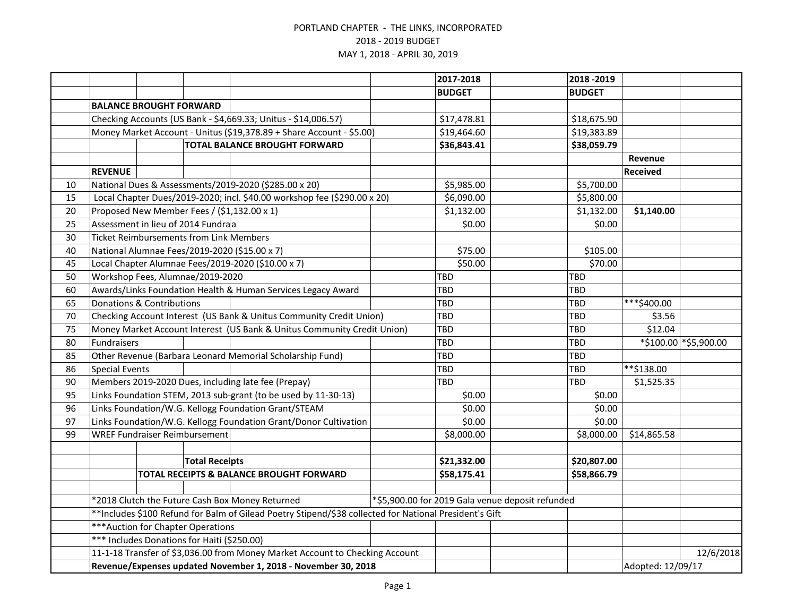|    |                                                                                                        |  |                                                |                                                                              |             | 2017-2018     |                                                  | 2018 - 2019   |                   |                        |
|----|--------------------------------------------------------------------------------------------------------|--|------------------------------------------------|------------------------------------------------------------------------------|-------------|---------------|--------------------------------------------------|---------------|-------------------|------------------------|
|    |                                                                                                        |  |                                                |                                                                              |             | <b>BUDGET</b> |                                                  | <b>BUDGET</b> |                   |                        |
|    | <b>BALANCE BROUGHT FORWARD</b>                                                                         |  |                                                |                                                                              |             |               |                                                  |               |                   |                        |
|    |                                                                                                        |  |                                                | Checking Accounts (US Bank - \$4,669.33; Unitus - \$14,006.57)               |             | \$17,478.81   |                                                  | \$18,675.90   |                   |                        |
|    |                                                                                                        |  |                                                | Money Market Account - Unitus (\$19,378.89 + Share Account - \$5.00)         |             | \$19,464.60   |                                                  | \$19,383.89   |                   |                        |
|    | <b>TOTAL BALANCE BROUGHT FORWARD</b>                                                                   |  |                                                |                                                                              | \$36,843.41 |               | \$38,059.79                                      |               |                   |                        |
|    |                                                                                                        |  |                                                |                                                                              |             |               |                                                  |               | Revenue           |                        |
|    | <b>REVENUE</b>                                                                                         |  |                                                |                                                                              |             |               |                                                  |               | <b>Received</b>   |                        |
| 10 |                                                                                                        |  |                                                | National Dues & Assessments/2019-2020 (\$285.00 x 20)                        |             | \$5,985.00    |                                                  | \$5,700.00    |                   |                        |
| 15 |                                                                                                        |  |                                                | Local Chapter Dues/2019-2020; incl. \$40.00 workshop fee (\$290.00 x 20)     |             | \$6,090.00    |                                                  | \$5,800.00    |                   |                        |
| 20 |                                                                                                        |  |                                                | Proposed New Member Fees / (\$1,132.00 x 1)                                  |             | \$1,132.00    |                                                  | \$1,132.00    | \$1,140.00        |                        |
| 25 |                                                                                                        |  | Assessment in lieu of 2014 Fundraa             |                                                                              |             | \$0.00        |                                                  | \$0.00        |                   |                        |
| 30 |                                                                                                        |  | <b>Ticket Reimbursements from Link Members</b> |                                                                              |             |               |                                                  |               |                   |                        |
| 40 |                                                                                                        |  |                                                | National Alumnae Fees/2019-2020 (\$15.00 x 7)                                |             | \$75.00       |                                                  | \$105.00      |                   |                        |
| 45 |                                                                                                        |  |                                                | Local Chapter Alumnae Fees/2019-2020 (\$10.00 x 7)                           |             | \$50.00       |                                                  | \$70.00       |                   |                        |
| 50 |                                                                                                        |  | Workshop Fees, Alumnae/2019-2020               |                                                                              |             | <b>TBD</b>    |                                                  | <b>TBD</b>    |                   |                        |
| 60 |                                                                                                        |  |                                                | Awards/Links Foundation Health & Human Services Legacy Award                 |             | <b>TBD</b>    |                                                  | <b>TBD</b>    |                   |                        |
| 65 | <b>Donations &amp; Contributions</b>                                                                   |  |                                                |                                                                              |             | TBD           |                                                  | TBD           | ***\$400.00       |                        |
| 70 |                                                                                                        |  |                                                | Checking Account Interest (US Bank & Unitus Community Credit Union)          |             | <b>TBD</b>    |                                                  | <b>TBD</b>    | \$3.56            |                        |
| 75 | Money Market Account Interest (US Bank & Unitus Community Credit Union)                                |  |                                                |                                                                              |             | TBD           |                                                  | <b>TBD</b>    | \$12.04           |                        |
| 80 | Fundraisers                                                                                            |  |                                                |                                                                              |             | TBD           |                                                  | <b>TBD</b>    |                   | *\$100.00 * \$5,900.00 |
| 85 |                                                                                                        |  |                                                | Other Revenue (Barbara Leonard Memorial Scholarship Fund)                    |             | TBD           |                                                  | TBD           |                   |                        |
| 86 | <b>Special Events</b>                                                                                  |  |                                                |                                                                              |             | <b>TBD</b>    |                                                  | <b>TBD</b>    | **\$138.00        |                        |
| 90 | Members 2019-2020 Dues, including late fee (Prepay)                                                    |  |                                                |                                                                              |             | TBD           |                                                  | TBD           | \$1,525.35        |                        |
| 95 | Links Foundation STEM, 2013 sub-grant (to be used by 11-30-13)                                         |  |                                                |                                                                              |             | \$0.00        |                                                  | \$0.00        |                   |                        |
| 96 | Links Foundation/W.G. Kellogg Foundation Grant/STEAM                                                   |  |                                                |                                                                              |             | \$0.00        |                                                  | \$0.00        |                   |                        |
| 97 |                                                                                                        |  |                                                | Links Foundation/W.G. Kellogg Foundation Grant/Donor Cultivation             |             | \$0.00        |                                                  | \$0.00        |                   |                        |
| 99 |                                                                                                        |  | <b>WREF Fundraiser Reimbursement</b>           |                                                                              |             | \$8,000.00    |                                                  | \$8,000.00    | \$14,865.58       |                        |
|    |                                                                                                        |  |                                                |                                                                              |             |               |                                                  |               |                   |                        |
|    |                                                                                                        |  | <b>Total Receipts</b>                          |                                                                              |             | \$21,332.00   |                                                  | \$20,807.00   |                   |                        |
|    |                                                                                                        |  |                                                | TOTAL RECEIPTS & BALANCE BROUGHT FORWARD                                     |             | \$58,175.41   |                                                  | \$58,866.79   |                   |                        |
|    |                                                                                                        |  |                                                |                                                                              |             |               |                                                  |               |                   |                        |
|    | *2018 Clutch the Future Cash Box Money Returned                                                        |  |                                                |                                                                              |             |               | *\$5,900.00 for 2019 Gala venue deposit refunded |               |                   |                        |
|    | **Includes \$100 Refund for Balm of Gilead Poetry Stipend/\$38 collected for National President's Gift |  |                                                |                                                                              |             |               |                                                  |               |                   |                        |
|    | *** Auction for Chapter Operations                                                                     |  |                                                |                                                                              |             |               |                                                  |               |                   |                        |
|    |                                                                                                        |  | *** Includes Donations for Haiti (\$250.00)    |                                                                              |             |               |                                                  |               |                   |                        |
|    |                                                                                                        |  |                                                | 11-1-18 Transfer of \$3,036.00 from Money Market Account to Checking Account |             |               |                                                  |               |                   | 12/6/2018              |
|    | Revenue/Expenses updated November 1, 2018 - November 30, 2018                                          |  |                                                |                                                                              |             |               |                                                  |               | Adopted: 12/09/17 |                        |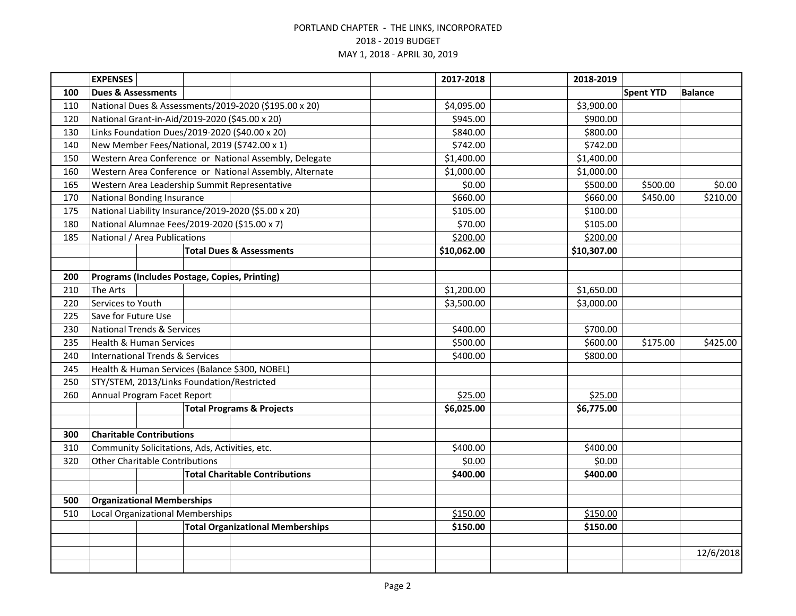|     | <b>EXPENSES</b>                                |  |                                            |                                                         | 2017-2018   | 2018-2019   |                  |                |
|-----|------------------------------------------------|--|--------------------------------------------|---------------------------------------------------------|-------------|-------------|------------------|----------------|
| 100 | <b>Dues &amp; Assessments</b>                  |  |                                            |                                                         |             |             | <b>Spent YTD</b> | <b>Balance</b> |
| 110 |                                                |  |                                            | National Dues & Assessments/2019-2020 (\$195.00 x 20)   | \$4,095.00  | \$3,900.00  |                  |                |
| 120 |                                                |  |                                            | National Grant-in-Aid/2019-2020 (\$45.00 x 20)          | \$945.00    | \$900.00    |                  |                |
| 130 |                                                |  |                                            | Links Foundation Dues/2019-2020 (\$40.00 x 20)          | \$840.00    | \$800.00    |                  |                |
| 140 |                                                |  |                                            | New Member Fees/National, 2019 (\$742.00 x 1)           | \$742.00    | \$742.00    |                  |                |
| 150 |                                                |  |                                            | Western Area Conference or National Assembly, Delegate  | \$1,400.00  | \$1,400.00  |                  |                |
| 160 |                                                |  |                                            | Western Area Conference or National Assembly, Alternate | \$1,000.00  | \$1,000.00  |                  |                |
| 165 |                                                |  |                                            | Western Area Leadership Summit Representative           | \$0.00      | \$500.00    | \$500.00         | \$0.00         |
| 170 | <b>National Bonding Insurance</b>              |  |                                            |                                                         | \$660.00    | \$660.00    | \$450.00         | \$210.00       |
| 175 |                                                |  |                                            | National Liability Insurance/2019-2020 (\$5.00 x 20)    | \$105.00    | \$100.00    |                  |                |
| 180 |                                                |  |                                            | National Alumnae Fees/2019-2020 (\$15.00 x 7)           | \$70.00     | \$105.00    |                  |                |
| 185 | National / Area Publications                   |  |                                            |                                                         | \$200.00    | \$200.00    |                  |                |
|     |                                                |  |                                            | <b>Total Dues &amp; Assessments</b>                     | \$10,062.00 | \$10,307.00 |                  |                |
|     |                                                |  |                                            |                                                         |             |             |                  |                |
| 200 |                                                |  |                                            | Programs (Includes Postage, Copies, Printing)           |             |             |                  |                |
| 210 | <b>The Arts</b>                                |  |                                            |                                                         | \$1,200.00  | \$1,650.00  |                  |                |
| 220 | Services to Youth                              |  |                                            |                                                         | \$3,500.00  | \$3,000.00  |                  |                |
| 225 | Save for Future Use                            |  |                                            |                                                         |             |             |                  |                |
| 230 | <b>National Trends &amp; Services</b>          |  |                                            |                                                         | \$400.00    | \$700.00    |                  |                |
| 235 | <b>Health &amp; Human Services</b>             |  |                                            |                                                         | \$500.00    | \$600.00    | \$175.00         | \$425.00       |
| 240 | <b>International Trends &amp; Services</b>     |  |                                            |                                                         | \$400.00    | \$800.00    |                  |                |
| 245 |                                                |  |                                            | Health & Human Services (Balance \$300, NOBEL)          |             |             |                  |                |
| 250 |                                                |  | STY/STEM, 2013/Links Foundation/Restricted |                                                         |             |             |                  |                |
| 260 | Annual Program Facet Report                    |  |                                            |                                                         | \$25.00     | \$25.00     |                  |                |
|     |                                                |  |                                            | <b>Total Programs &amp; Projects</b>                    | \$6,025.00  | \$6,775.00  |                  |                |
|     |                                                |  |                                            |                                                         |             |             |                  |                |
| 300 | <b>Charitable Contributions</b>                |  |                                            |                                                         |             |             |                  |                |
| 310 | Community Solicitations, Ads, Activities, etc. |  |                                            |                                                         | \$400.00    | \$400.00    |                  |                |
| 320 | <b>Other Charitable Contributions</b>          |  |                                            |                                                         | \$0.00      | \$0.00      |                  |                |
|     |                                                |  |                                            | <b>Total Charitable Contributions</b>                   | \$400.00    | \$400.00    |                  |                |
|     |                                                |  |                                            |                                                         |             |             |                  |                |
|     | <b>Organizational Memberships</b><br>500       |  |                                            |                                                         |             |             |                  |                |
| 510 | <b>Local Organizational Memberships</b>        |  |                                            |                                                         | \$150.00    | \$150.00    |                  |                |
|     | <b>Total Organizational Memberships</b>        |  |                                            |                                                         | \$150.00    | \$150.00    |                  |                |
|     |                                                |  |                                            |                                                         |             |             |                  |                |
|     |                                                |  |                                            |                                                         |             |             |                  | 12/6/2018      |
|     |                                                |  |                                            |                                                         |             |             |                  |                |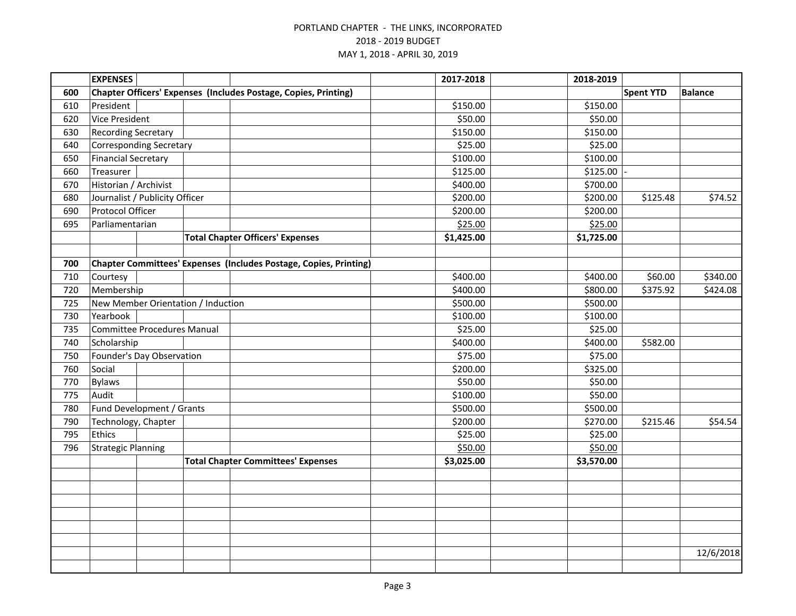|     | <b>EXPENSES</b>                    |  |                                    |                                                                   |  | 2017-2018  | 2018-2019  |                  |                |
|-----|------------------------------------|--|------------------------------------|-------------------------------------------------------------------|--|------------|------------|------------------|----------------|
| 600 |                                    |  |                                    | Chapter Officers' Expenses (Includes Postage, Copies, Printing)   |  |            |            | <b>Spent YTD</b> | <b>Balance</b> |
| 610 | President                          |  |                                    |                                                                   |  | \$150.00   | \$150.00   |                  |                |
| 620 | <b>Vice President</b>              |  |                                    |                                                                   |  | \$50.00    | \$50.00    |                  |                |
| 630 | <b>Recording Secretary</b>         |  |                                    |                                                                   |  | \$150.00   | \$150.00   |                  |                |
| 640 | <b>Corresponding Secretary</b>     |  |                                    |                                                                   |  | \$25.00    | \$25.00    |                  |                |
| 650 | <b>Financial Secretary</b>         |  |                                    |                                                                   |  | \$100.00   | \$100.00   |                  |                |
| 660 | Treasurer                          |  |                                    |                                                                   |  | \$125.00   | \$125.00   |                  |                |
| 670 | Historian / Archivist              |  |                                    |                                                                   |  | \$400.00   | \$700.00   |                  |                |
| 680 | Journalist / Publicity Officer     |  |                                    |                                                                   |  | \$200.00   | \$200.00   | \$125.48         | \$74.52        |
| 690 | Protocol Officer                   |  |                                    |                                                                   |  | \$200.00   | \$200.00   |                  |                |
| 695 | Parliamentarian                    |  |                                    |                                                                   |  | \$25.00    | \$25.00    |                  |                |
|     |                                    |  |                                    | <b>Total Chapter Officers' Expenses</b>                           |  | \$1,425.00 | \$1,725.00 |                  |                |
|     |                                    |  |                                    |                                                                   |  |            |            |                  |                |
| 700 |                                    |  |                                    | Chapter Committees' Expenses (Includes Postage, Copies, Printing) |  |            |            |                  |                |
| 710 | Courtesy                           |  |                                    |                                                                   |  | \$400.00   | \$400.00   | \$60.00          | \$340.00       |
| 720 | Membership                         |  |                                    |                                                                   |  | \$400.00   | \$800.00   | \$375.92         | \$424.08       |
| 725 |                                    |  | New Member Orientation / Induction |                                                                   |  | \$500.00   | \$500.00   |                  |                |
| 730 | Yearbook                           |  |                                    |                                                                   |  | \$100.00   | \$100.00   |                  |                |
| 735 | <b>Committee Procedures Manual</b> |  |                                    |                                                                   |  | \$25.00    | \$25.00    |                  |                |
| 740 | Scholarship                        |  |                                    |                                                                   |  | \$400.00   | \$400.00   | \$582.00         |                |
| 750 | Founder's Day Observation          |  |                                    |                                                                   |  | \$75.00    | \$75.00    |                  |                |
| 760 | Social                             |  |                                    |                                                                   |  | \$200.00   | \$325.00   |                  |                |
| 770 | <b>Bylaws</b>                      |  |                                    |                                                                   |  | \$50.00    | \$50.00    |                  |                |
| 775 | Audit                              |  |                                    |                                                                   |  | \$100.00   | \$50.00    |                  |                |
| 780 | Fund Development / Grants          |  |                                    |                                                                   |  | \$500.00   | \$500.00   |                  |                |
| 790 | Technology, Chapter                |  |                                    |                                                                   |  | \$200.00   | \$270.00   | \$215.46         | \$54.54        |
| 795 | Ethics                             |  |                                    |                                                                   |  | \$25.00    | \$25.00    |                  |                |
| 796 | <b>Strategic Planning</b>          |  |                                    |                                                                   |  | \$50.00    | \$50.00    |                  |                |
|     |                                    |  |                                    | <b>Total Chapter Committees' Expenses</b>                         |  | \$3,025.00 | \$3,570.00 |                  |                |
|     |                                    |  |                                    |                                                                   |  |            |            |                  |                |
|     |                                    |  |                                    |                                                                   |  |            |            |                  |                |
|     |                                    |  |                                    |                                                                   |  |            |            |                  |                |
|     |                                    |  |                                    |                                                                   |  |            |            |                  |                |
|     |                                    |  |                                    |                                                                   |  |            |            |                  |                |
|     |                                    |  |                                    |                                                                   |  |            |            |                  |                |
|     |                                    |  |                                    |                                                                   |  |            |            |                  | 12/6/2018      |
|     |                                    |  |                                    |                                                                   |  |            |            |                  |                |